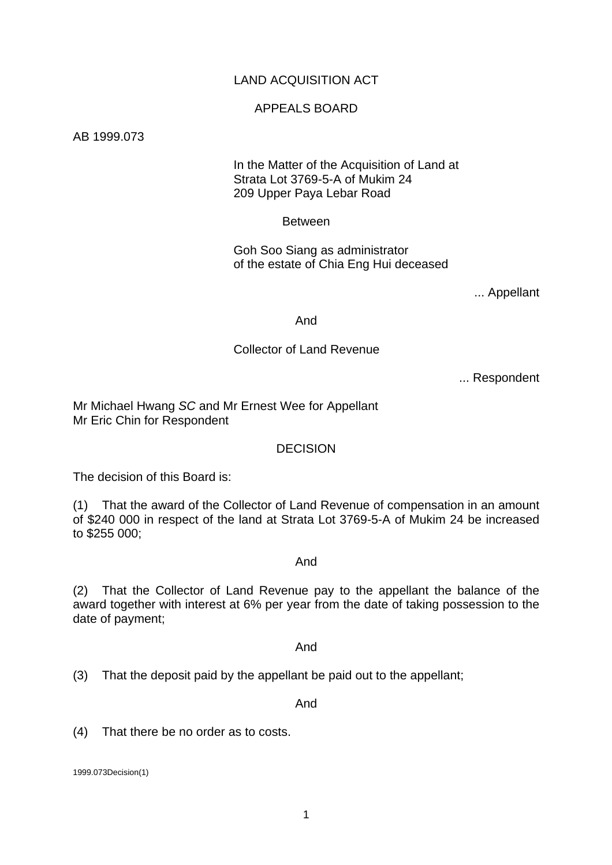# LAND ACQUISITION ACT

#### APPEALS BOARD

#### AB 1999.073

## In the Matter of the Acquisition of Land at Strata Lot 3769-5-A of Mukim 24 209 Upper Paya Lebar Road

#### Between

 Goh Soo Siang as administrator of the estate of Chia Eng Hui deceased

... Appellant

And

# Collector of Land Revenue

... Respondent

Mr Michael Hwang *SC* and Mr Ernest Wee for Appellant Mr Eric Chin for Respondent

#### **DECISION**

The decision of this Board is:

(1) That the award of the Collector of Land Revenue of compensation in an amount of \$240 000 in respect of the land at Strata Lot 3769-5-A of Mukim 24 be increased to \$255 000;

#### And

(2) That the Collector of Land Revenue pay to the appellant the balance of the award together with interest at 6% per year from the date of taking possession to the date of payment;

#### And

(3) That the deposit paid by the appellant be paid out to the appellant;

And

(4) That there be no order as to costs.

1999.073Decision(1)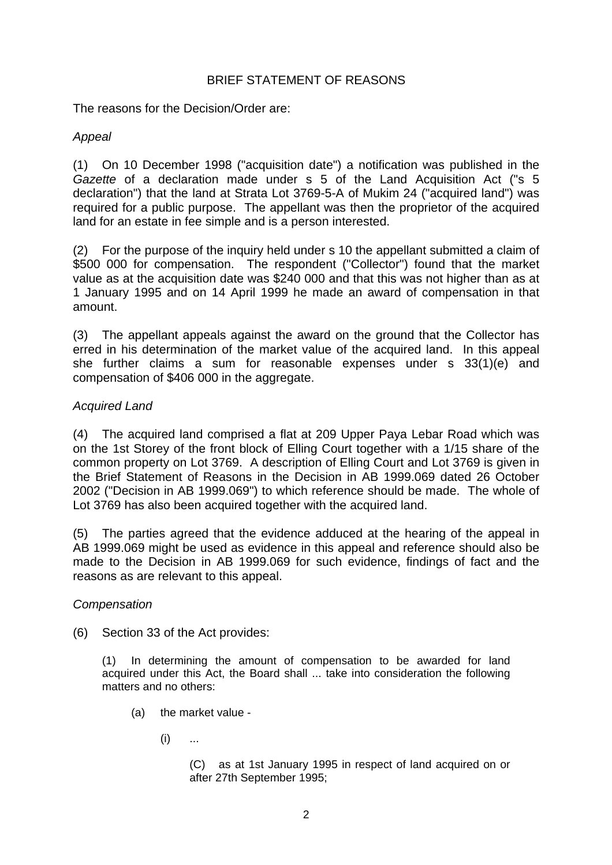# BRIEF STATEMENT OF REASONS

The reasons for the Decision/Order are:

# *Appeal*

(1) On 10 December 1998 ("acquisition date") a notification was published in the *Gazette* of a declaration made under s 5 of the Land Acquisition Act ("s 5 declaration") that the land at Strata Lot 3769-5-A of Mukim 24 ("acquired land") was required for a public purpose. The appellant was then the proprietor of the acquired land for an estate in fee simple and is a person interested.

(2) For the purpose of the inquiry held under s 10 the appellant submitted a claim of \$500 000 for compensation. The respondent ("Collector") found that the market value as at the acquisition date was \$240 000 and that this was not higher than as at 1 January 1995 and on 14 April 1999 he made an award of compensation in that amount.

(3) The appellant appeals against the award on the ground that the Collector has erred in his determination of the market value of the acquired land. In this appeal she further claims a sum for reasonable expenses under s 33(1)(e) and compensation of \$406 000 in the aggregate.

# *Acquired Land*

(4) The acquired land comprised a flat at 209 Upper Paya Lebar Road which was on the 1st Storey of the front block of Elling Court together with a 1/15 share of the common property on Lot 3769. A description of Elling Court and Lot 3769 is given in the Brief Statement of Reasons in the Decision in AB 1999.069 dated 26 October 2002 ("Decision in AB 1999.069") to which reference should be made. The whole of Lot 3769 has also been acquired together with the acquired land.

(5) The parties agreed that the evidence adduced at the hearing of the appeal in AB 1999.069 might be used as evidence in this appeal and reference should also be made to the Decision in AB 1999.069 for such evidence, findings of fact and the reasons as are relevant to this appeal.

# *Compensation*

(6) Section 33 of the Act provides:

(1) In determining the amount of compensation to be awarded for land acquired under this Act, the Board shall ... take into consideration the following matters and no others:

- (a) the market value
	- $(i)$  ...

 (C) as at 1st January 1995 in respect of land acquired on or after 27th September 1995;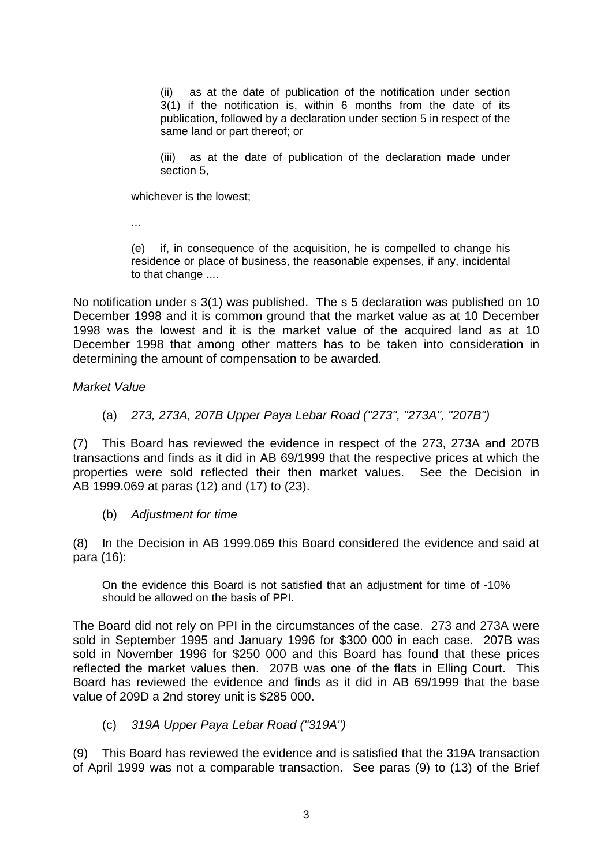(ii) as at the date of publication of the notification under section 3(1) if the notification is, within 6 months from the date of its publication, followed by a declaration under section 5 in respect of the same land or part thereof; or

(iii) as at the date of publication of the declaration made under section 5,

whichever is the lowest;

...

 (e) if, in consequence of the acquisition, he is compelled to change his residence or place of business, the reasonable expenses, if any, incidental to that change ....

No notification under s 3(1) was published. The s 5 declaration was published on 10 December 1998 and it is common ground that the market value as at 10 December 1998 was the lowest and it is the market value of the acquired land as at 10 December 1998 that among other matters has to be taken into consideration in determining the amount of compensation to be awarded.

#### *Market Value*

(a) *273, 273A, 207B Upper Paya Lebar Road ("273", "273A", "207B")* 

(7) This Board has reviewed the evidence in respect of the 273, 273A and 207B transactions and finds as it did in AB 69/1999 that the respective prices at which the properties were sold reflected their then market values. See the Decision in AB 1999.069 at paras (12) and (17) to (23).

#### (b) *Adjustment for time*

(8) In the Decision in AB 1999.069 this Board considered the evidence and said at para (16):

On the evidence this Board is not satisfied that an adjustment for time of -10% should be allowed on the basis of PPI.

The Board did not rely on PPI in the circumstances of the case. 273 and 273A were sold in September 1995 and January 1996 for \$300 000 in each case. 207B was sold in November 1996 for \$250 000 and this Board has found that these prices reflected the market values then. 207B was one of the flats in Elling Court. This Board has reviewed the evidence and finds as it did in AB 69/1999 that the base value of 209D a 2nd storey unit is \$285 000.

(c) *319A Upper Paya Lebar Road ("319A")* 

(9) This Board has reviewed the evidence and is satisfied that the 319A transaction of April 1999 was not a comparable transaction. See paras (9) to (13) of the Brief